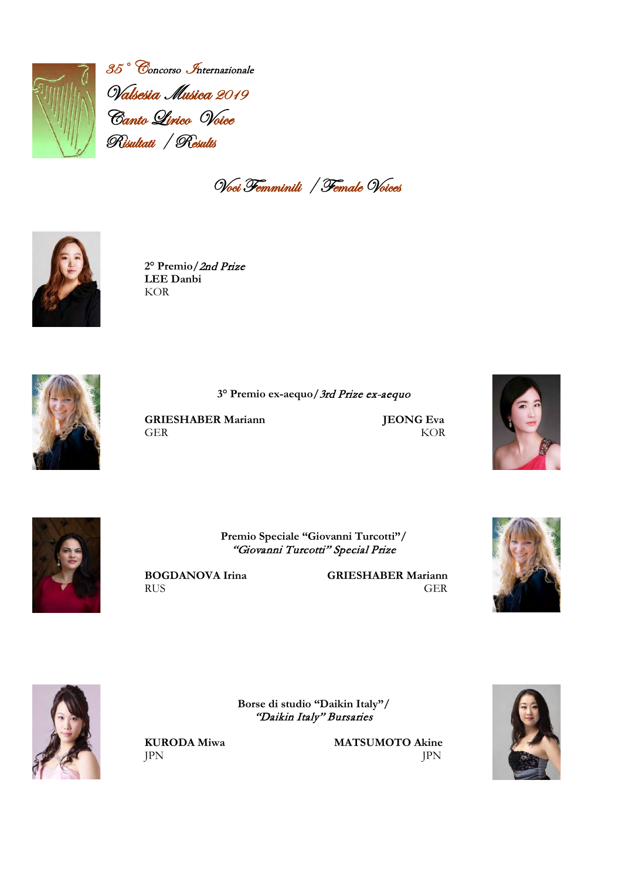

35° Concorso Internazionale Valsesia Musica 2019 Canto Lirico Voice Risultati / Results

Voci Femminili / Female Voices



**2° Premio/**2nd Prize **LEE Danbi** KOR



**3° Premio ex-aequo/**3rd Prize ex-aequo

**GRIESHABER Mariann JEONG Eva**<br>GER KOR GER KOR





**Premio Speciale "Giovanni Turcotti"/** "Giovanni Turcotti" Special Prize

> **Borse di studio "Daikin Italy"/** "Daikin Italy" Bursaries

**BOGDANOVA Irina** GRIESHABER Mariann<br>RUS GER RUS GER





**KURODA Miwa MATSUMOTO Akine**<br>  $\text{IPN}$ JPN JPN

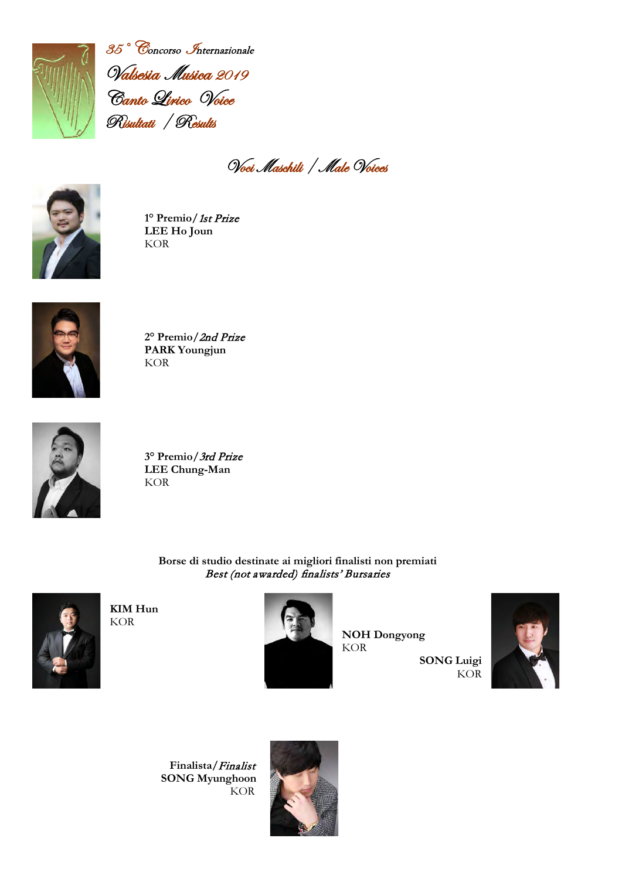

35° Concorso Internazionale Valsesia Musica 2019 Canto Lirico Voice Risultati / Results

Voci Maschili / Male Voices



**1° Premio/**1st Prize **LEE Ho Joun** KOR



**2° Premio/**2nd Prize **PARK Youngjun** KOR



**3° Premio/**3rd Prize **LEE Chung-Man** KOR

> **Borse di studio destinate ai migliori finalisti non premiati** Best (not awarded) finalists' Bursaries



**KIM Hun**  KOR



 **NOH Dongyong SONG Luigi**



 **Finalista/**Finalist  **SONG Myunghoon** KOR

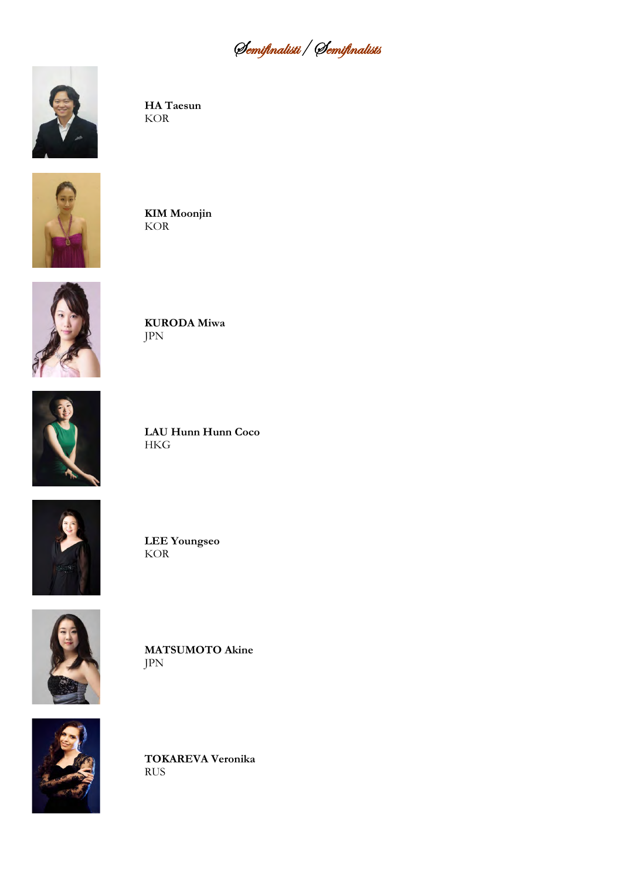Semifinalisti/ Semifinalists



**HA Taesun** KOR



**KIM Moonjin** KOR



**KURODA Miwa** JPN



**LAU Hunn Hunn Coco** HKG



**LEE Youngseo** KOR



**MATSUMOTO Akine** JPN



**TOKAREVA Veronika** RUS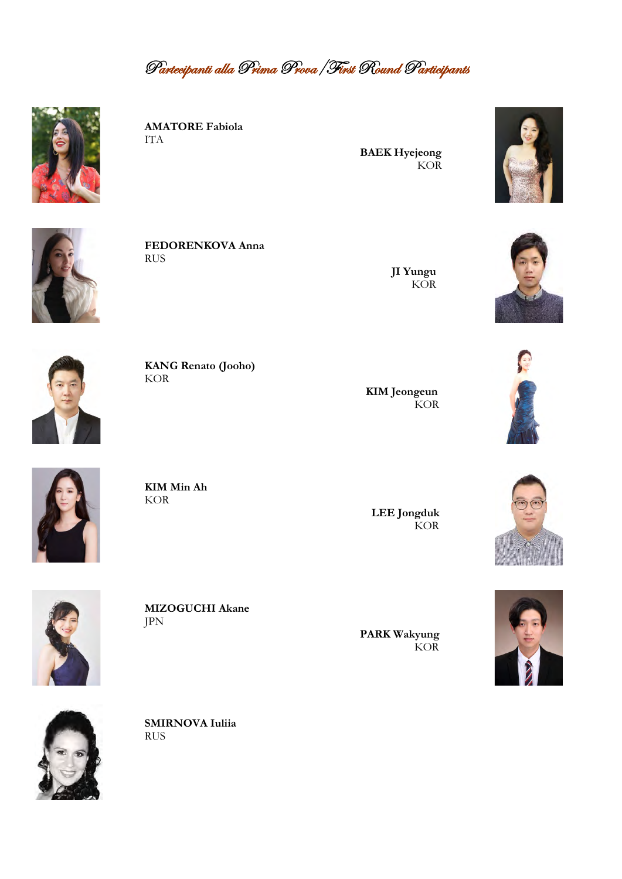Partecipanti alla Prima Prova/First Round Participants



**AMATORE Fabiola** ITA

 **BAEK Hyejeong KOR** 



**FEDORENKOVA Anna** RUS

 **JI Yungu** KOR **KOR** 





**KANG Renato (Jooho)** KOR

 **KIM Jeongeun KOR** 





**KIM Min Ah** KOR

 **LEE Jongduk KOR** 

 **PARK Wakyung**





**SMIRNOVA Iuliia** RUS

**MIZOGUCHI Akane**

**KOR** 



JPN